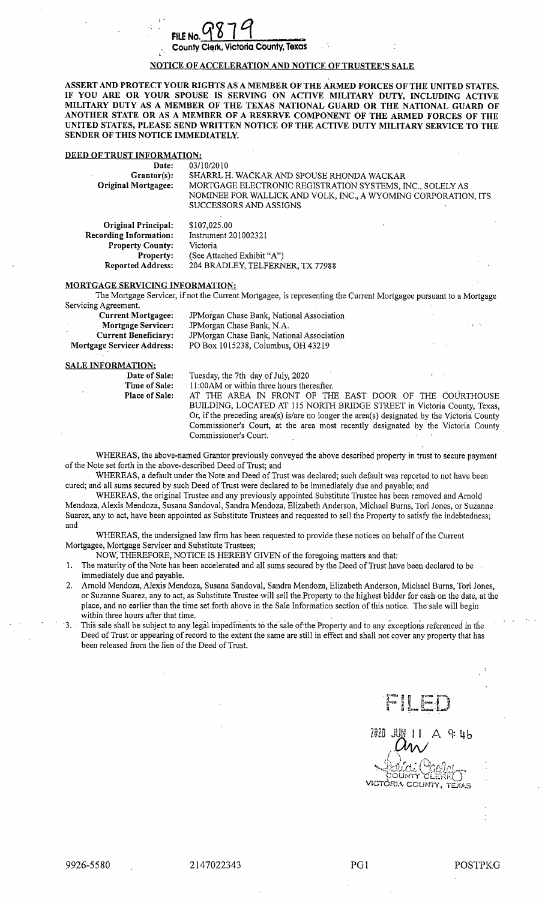## FILE No.  $9879$ County Clerk, Victoria County, Texas

## NOTICE OF ACCELERATION AND NOTICE OF TRUSTEE'S SALE

ASSERT AND PROTECT YOUR RIGHTS AS A MEMBER OF THE ARMED FORCES OF THE UNITED STATES. IF YOU ARE OR YOUR SPOUSE IS SERVING ON ACTIVE MILITARY DUTY, INCLUDING ACTIVE MILITARY DUTY AS A MEMBER OF THE TEXAS NATIONAL GUARD OR THE NATIONAL GUARD OF ANOTHER STATE OR AS A MEMBER OF A RESERVE COMPONENT OF THE ARMED FORCES OF THE UNITED STATES, PLEASE SEND WRITTEN NOTICE OF THE ACTIVE DUTY MILITARY SERVICE TO THE SENDER OF THIS NOTICE IMMEDIATELY.

## DEED OF TRUST INFORMATION:

| Date:                                               | 03/10/2010                                                                                                                                            |
|-----------------------------------------------------|-------------------------------------------------------------------------------------------------------------------------------------------------------|
| Grantor(s):                                         | SHARRL H. WACKAR AND SPOUSE RHONDA WACKAR                                                                                                             |
| <b>Original Mortgagee:</b>                          | MORTGAGE ELECTRONIC REGISTRATION SYSTEMS, INC., SOLELY AS<br>NOMINEE FOR WALLICK AND VOLK, INC., A WYOMING CORPORATION, ITS<br>SUCCESSORS AND ASSIGNS |
| <b>Original Principal:</b><br>ecording Information: | \$107,025.00<br>Instrument 201002321                                                                                                                  |

|                               | <b></b>                          |
|-------------------------------|----------------------------------|
| <b>Recording Information:</b> | Instrument 201002321             |
| <b>Property County:</b>       | Victoria                         |
| <b>Property:</b>              | (See Attached Exhibit "A")       |
| <b>Reported Address:</b>      | 204 BRADLEY, TELFERNER, TX 77988 |
|                               |                                  |

#### MORTGAGE SERVICING INFORMATION:

The Mortgage Servicer, if not the Current Mortgagee, is representing the Current Mortgagee pursuant to <sup>a</sup> Mortgage Servicing Agreement.

| Current Mortgagee:                | JPM organ Chase Bank, National Association |  |  |
|-----------------------------------|--------------------------------------------|--|--|
| <b>Mortgage Servicer:</b>         | JPMorgan Chase Bank, N.A.                  |  |  |
| Current Beneficiary:              | JPM organ Chase Bank, National Association |  |  |
| <b>Mortgage Servicer Address:</b> | PO Box 1015238, Columbus, OH 43219         |  |  |
|                                   |                                            |  |  |

#### SALE INFORMATION:

| Date of Sale:         | Tuesday, the 7th day of July, 2020                                                          |
|-----------------------|---------------------------------------------------------------------------------------------|
| Time of Sale:         | 11:00 AM or within three hours thereafter.                                                  |
| <b>Place of Sale:</b> | AT THE AREA IN FRONT OF THE EAST DOOR OF THE COURTHOUSE                                     |
|                       | BUILDING, LOCATED AT 115 NORTH BRIDGE STREET in Victoria County, Texas,                     |
|                       | Or, if the preceding area(s) is/are no longer the area(s) designated by the Victoria County |
|                       | Commissioner's Court, at the area most recently designated by the Victoria County           |

WHEREAS, the above-named Grantor previously conveyed the above described property in trust to secure payment of the Note set forth in the above- described Deed of Trust; and

WHEREAS, <sup>a</sup> default under the Note and Deed of Trust was declared; such default was reported to not have been cured; and all sums secured by such Deed of Trust were declared to be immediately due and payable; and

WHEREAS, the original Trustee and any previously appointed Substitute Trustee has been removed and Arnold Mendoza, Alexis Mendoza, Susana Sandoval, Sandra Mendoza, Elizabeth Anderson, Michael Burns, Tori Jones, or Suzanne Suarez, any to act, have been appointed as Substitute Trustees and requested to sell the Property to satisfy the indebtedness; and

WHEREAS, the undersigned law firm has been requested to provide these notices on behalf of the Current Mortgagee, Mortgage Servicer and Substitute Trustees;

NOW, THEREFORE, NOTICE IS HEREBY GIVEN of the foregoing matters and that:

Commissioner's Court.

- 1. The maturity of the Note has been accelerated and all sums secured by the Deed of Trust have been declared to be immediately due and payable.
- 2. Arnold Mendoza, Alexis Mendoza, Susana Sandoval, Sandra Mendoza, Elizabeth Anderson, Michael Burns, Tori Jones, or Suzanne Suarez, any to act, as Substitute Trustee will sell the Property to the highest bidder for cash on the date, at the place, and no earlier than the time set forth above in the Sale Information section of this notice. The sale will begin within three hours after that time.
- 3. This sale shall be subject to any legal impediments to the sale of the Property and to any exceptions referenced in the Deed of Trust or appearing of record to the extent the same are still in effect and shall not cover any property that has been released from the lien of the Deed of Trust.

I a

 $9:46$ Li NTY

VICTORIA COUNTY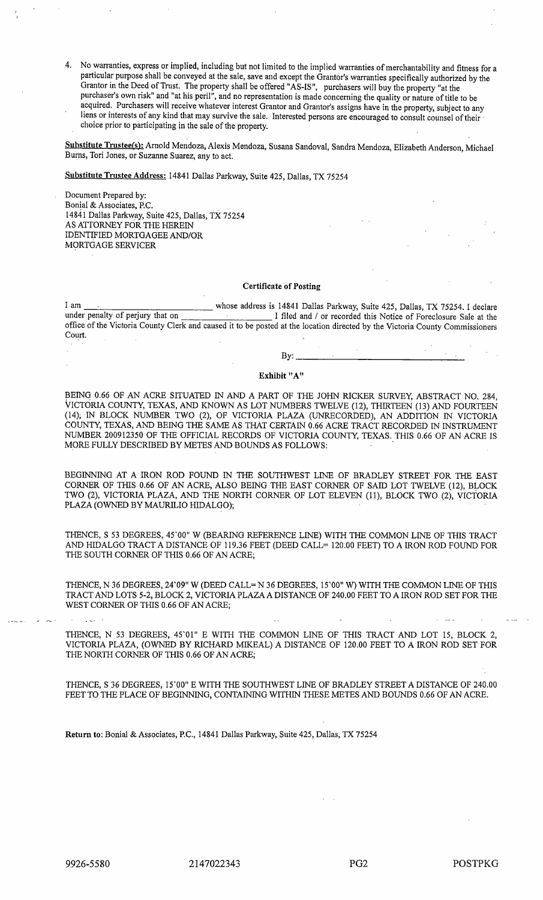4. No warranties, express or implied, including but not limited to the implied warranties of merchantability and fitness for <sup>a</sup> particular purpose shall be conveyed at the sale, save and except the Grantor's warranties specifically authorized by the Grantor in the Deed of Trust. The property shall be offered "AS-IS", purchasers will buy the property "at the purchaser's own risk" and "at his peril", and no representation is made concerning the quality or nature of title to be acquired. Purchasers will receive whatever interest Grantor and Grantor's assigns have in the property, subject to any liens or interests of any kind that may survive the sale. Interested persons are encouraged to consult counsel of their choice prior to participating in the sale of the property.

Substitute Trustee(s): Arnold Mendoza, Alexis Mendoza, Susana Sandoval, Sandra Mendoza, Elizabeth Anderson, Michael Burns, Tori Jones, or Suzanne Suarez, any to act.

Substitute Trustee Address: 14841 Dallas Parkway, Suite 425, Dallas, TX 75254

Document Prepared by: Bonial& Associates, P.C. 14841 Dallas Parkway, Suite 425, Dallas, TX 75254 AS ATTORNEY FOR THE HEREIN IDENTIFIED MORTGAGEE AND/OR MORTGAGE SERVICER

#### Certificate of Posting

I am whose address is 14841 Dallas Parkway, Suite 425, Dallas, TX 75254. I declare<br>under penalty of perjury that on I filed and / or recorded this Notice of Foreclosure Sale at the I filed and / or recorded this Notice of Foreclosure Sale at the office of the Victoria County Clerk and caused it to be posted at the location directed by the Victoria County Commissioners Court.

#### By:

## Exhibit "A"

BEING 0.66 OF AN ACRE SITUATED IN AND A PART OF THE JOHN RICKER SURVEY, ABSTRACT NO. 284, VICTORIA COUNTY, TEXAS, AND KNOWN AS LOT NUMBERS TWELVE ( 12), THIRTEEN ( 13) AND FOURTEEN 14); IN BLOCK NUMBER TWO ( 2), OF VICTORIA PLAZA ( UNRECORDED), AN ADDITION IN VICTORIA COUNTY, TEXAS, AND BEING THE SAME AS THAT CERTAIN 0.66 ACRE TRACT RECORDED IN INSTRUMEN NUMBER 200912350 OF THE OFFICIAL RECORDS OF VICTORIA COUNTY, TEXAS. THIS 0.66 OF AN ACRE IS MORE FULLY DESCRIBED BY METES AND BOUNDS AS FOLLOWS:

BEGINNING AT A IRON ROD FOUND IN THE SOUTHWEST LINE OF BRADLEY STREET FOR THE EAST CORNER OF THIS 0. 66 OF AN ACRE, ALSO BEING THE EAST CORNER OF SAID LOT TWELVE ( 12), BLOCK TWO (2), VICTORIA PLAZA, AND THE NORTH CORNER OF LOT ELEVEN (11), BLOCK TWO (2), VICTORIA PLAZA( OWNED BY MAURILIO HIDALGO);

THENCE, S 53 DEGREES, 45'00" W (BEARING REFERENCE LINE) WITH THE COMMON LINE OF THIS TRACT AND HIDALGO TRACT A DISTANCE OF 119.36 FEET (DEED CALL= 120.00 FEET) TO A IRON ROD FOUND FOR THE SOUTH CORNER OF THIS 0.66 OF AN ACRE;

THENCE, N 36 DEGREES, 24'09" W (DEED CALL= N 36 DEGREES, 15'00" W) WITH THE COMMON LINE OF THIS TRACT AND LOTS 5-2, BLOCK 2, VICTORIA PLAZA A DISTANCE OF 240.00 FEET TO A IRON ROD SET FOR THE WEST CORNER OF THIS 0.66 OF AN ACRE;

THENCE, N 53 DEGREES, 45'01" E WITH THE COMMON LINE OF THIS TRACT AND LOT 15, BLOCK 2, VICTORIA PLAZA, (OWNED BY RICHARD MIKEAL) A DISTANCE OF 120.00 FEET TO A IRON ROD SET FOR THE NORTH CORNER OF THIS 0.66 OF AN ACRE;

THENCE, S 36 DEGREES, 15' 00" E WITH THE SOUTHWEST LINE OF BRADLEY STREET A DISTANCE OF 240. 00 FEET TO THE PLACE OF BEGINNING, CONTAINING WITHIN THESE METES AND BOUNDS 0.66 OF AN ACRE.

Return to: Bonial& Associates, P.C., 14841 Dallas Parkway, Suite 425, Dallas, TX 75254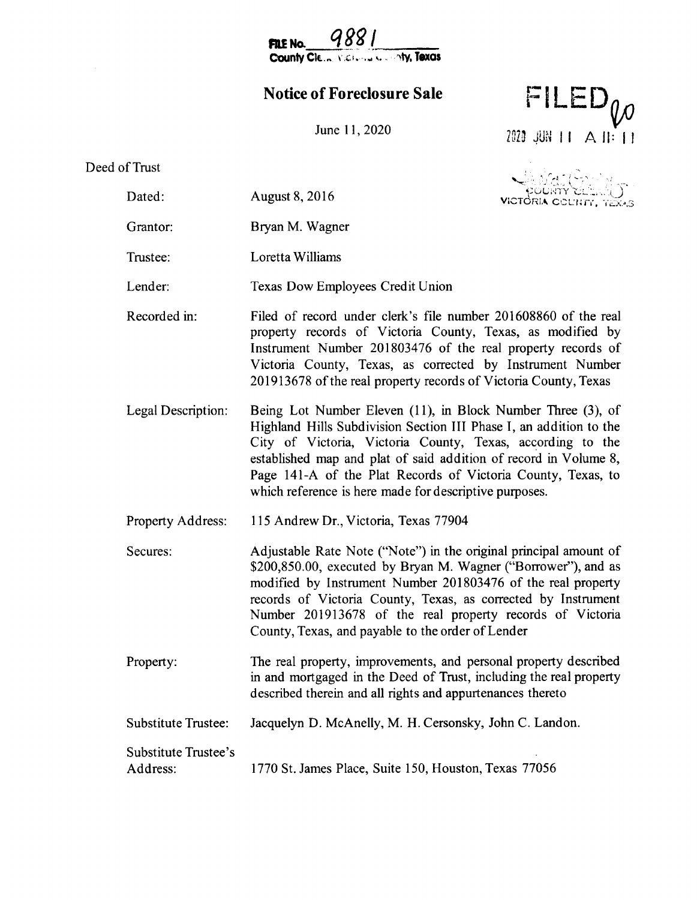988 County Cle ... Victoria Learnty, Texas

FILE No.

# Notice of Foreclosure Sale

 $FILED_{U}$ 

2020 JUN 11 A II: 11

June 11, 2020

## Deed of Trust

| of Trust                         |                                                                                                                                                                                                                                                                                                                                                                                               |                |
|----------------------------------|-----------------------------------------------------------------------------------------------------------------------------------------------------------------------------------------------------------------------------------------------------------------------------------------------------------------------------------------------------------------------------------------------|----------------|
| Dated:                           | August 8, 2016                                                                                                                                                                                                                                                                                                                                                                                | COUNTY COMPANY |
| Grantor:                         | Bryan M. Wagner                                                                                                                                                                                                                                                                                                                                                                               |                |
| Trustee:                         | Loretta Williams                                                                                                                                                                                                                                                                                                                                                                              |                |
| Lender:                          | Texas Dow Employees Credit Union                                                                                                                                                                                                                                                                                                                                                              |                |
| Recorded in:                     | Filed of record under clerk's file number 201608860 of the real<br>property records of Victoria County, Texas, as modified by<br>Instrument Number 201803476 of the real property records of<br>Victoria County, Texas, as corrected by Instrument Number<br>201913678 of the real property records of Victoria County, Texas                                                                 |                |
| Legal Description:               | Being Lot Number Eleven (11), in Block Number Three (3), of<br>Highland Hills Subdivision Section III Phase I, an addition to the<br>City of Victoria, Victoria County, Texas, according to the<br>established map and plat of said addition of record in Volume 8,<br>Page 141-A of the Plat Records of Victoria County, Texas, to<br>which reference is here made for descriptive purposes. |                |
| Property Address:                | 115 Andrew Dr., Victoria, Texas 77904                                                                                                                                                                                                                                                                                                                                                         |                |
| Secures:                         | Adjustable Rate Note ("Note") in the original principal amount of<br>\$200,850.00, executed by Bryan M. Wagner ("Borrower"), and as<br>modified by Instrument Number 201803476 of the real property<br>records of Victoria County, Texas, as corrected by Instrument<br>Number 201913678 of the real property records of Victoria<br>County, Texas, and payable to the order of Lender        |                |
| Property:                        | The real property, improvements, and personal property described<br>in and mortgaged in the Deed of Trust, including the real property<br>described therein and all rights and appurtenances thereto                                                                                                                                                                                          |                |
| <b>Substitute Trustee:</b>       | Jacquelyn D. McAnelly, M. H. Cersonsky, John C. Landon.                                                                                                                                                                                                                                                                                                                                       |                |
| Substitute Trustee's<br>Address: | 1770 St. James Place, Suite 150, Houston, Texas 77056                                                                                                                                                                                                                                                                                                                                         |                |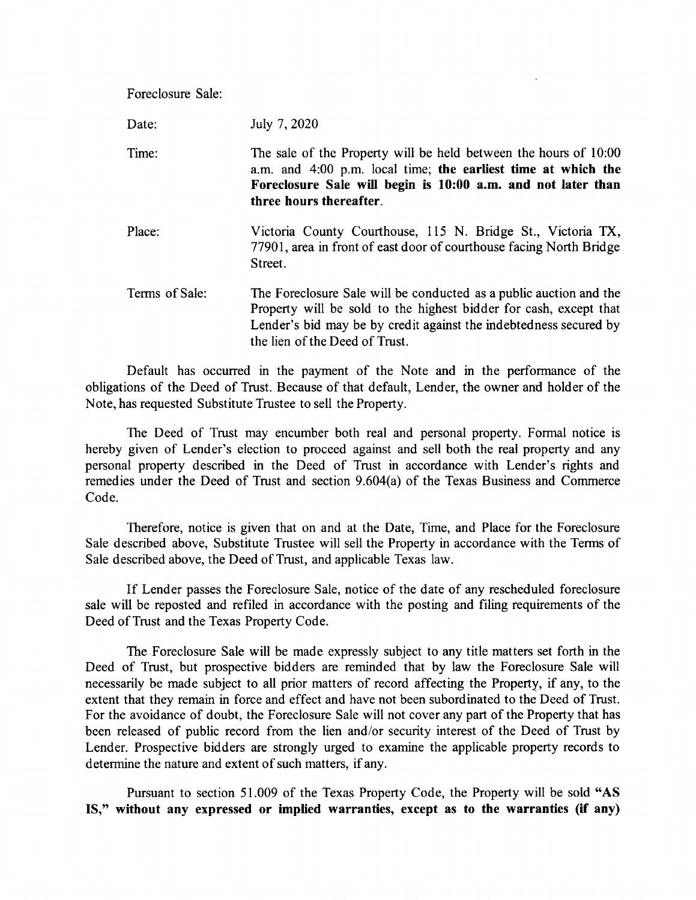| Foreclosure Sale: |                                                                                                                                                                                                                              |
|-------------------|------------------------------------------------------------------------------------------------------------------------------------------------------------------------------------------------------------------------------|
| Date:             | July 7, 2020                                                                                                                                                                                                                 |
| Time:             | The sale of the Property will be held between the hours of 10:00<br>a.m. and 4:00 p.m. local time; the earliest time at which the<br>Foreclosure Sale will begin is 10:00 a.m. and not later than<br>three hours thereafter. |
| Place:            | Victoria County Courthouse, 115 N. Bridge St., Victoria TX,<br>77901, area in front of east door of courthouse facing North Bridge<br>Street.                                                                                |

Terms of Sale: The Foreclosure Sale will be conducted as a public auction and the Property will be sold to the highest bidder for cash, except that Lender's bid may be by credit against the indebtedness secured by the lien of the Deed of Trust.

Default has occurred in the payment of the Note and in the performance of the obligations of the Deed of Trust. Because of that default, Lender, the owner and holder of the Note, has requested Substitute Trustee to sell the Property.

The Deed of Trust may encumber both real and personal property. Formal notice is hereby given of Lender's election to proceed against and sell both the real property and any personal property described in the Deed of Trust in accordance with Lender's rights and remedies under the Deed of Trust and section 9.604(a) of the Texas Business and Commerce Code.

Therefore, notice is given that on and at the Date, Time, and Place for the Foreclosure Sale described above, Substitute Trustee will sell the Property in accordance with the Terms of Sale described above, the Deed of Trust, and applicable Texas law.

If Lender passes the Foreclosure Sale, notice of the date of any rescheduled foreclosure sale will be reposted and refiled in accordance with the posting and filing requirements of the Deed of Trust and the Texas Property Code.

The Foreclosure Sale will be made expressly subject to any title matters set forth in the Deed of Trust, but prospective bidders are reminded that by law the Foreclosure Sale will necessarily be made subject to all prior matters of record affecting the Property, if any, to the extent that they remain in force and effect and have not been subordinated to the Deed of Trust. For the avoidance of doubt, the Foreclosure Sale will not cover any part of the Property that has been released of public record from the lien and/or security interest of the Deed of Trust by Lender. Prospective bidders are strongly urged to examine the applicable property records to determine the nature and extent of such matters, if any.

Pursuant to section 51.009 of the Texas Property Code, the Property will be sold "AS IS," without any expressed or implied warranties, except as to the warranties (if any)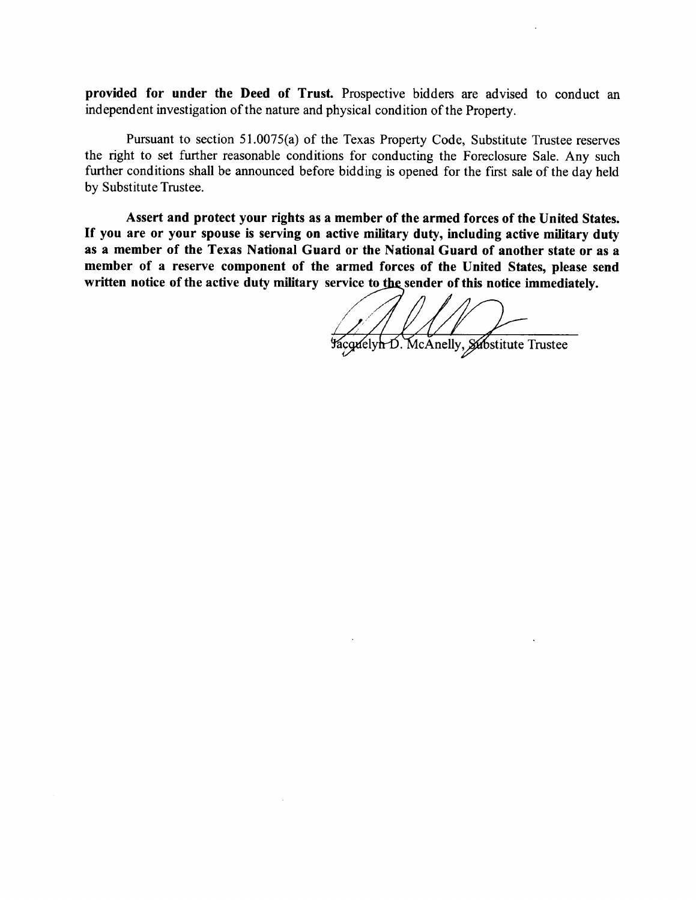provided for under the Deed of Trust. Prospective bidders are advised to conduct an independent investigation of the nature and physical condition of the Property.

Pursuant to section 51.0075(a) of the Texas Property Code, Substitute Trustee reserves the right to set further reasonable conditions for conducting the Foreclosure Sale. Any such further conditions shall be announced before bidding is opened for the first sale of the day held by Substitute Trustee.

Assert and protect your rights as a member of the armed forces of the United States. If you are or your spouse is serving on active military duty, including active military duty as a member of the Texas National Guard or the National Guard of another state or as a member of a reserve component of the armed forces of the United States, please send written notice of the active duty military service to the sender of this notice immediately.

Facquelyn D. McAnelly, Substitute Trustee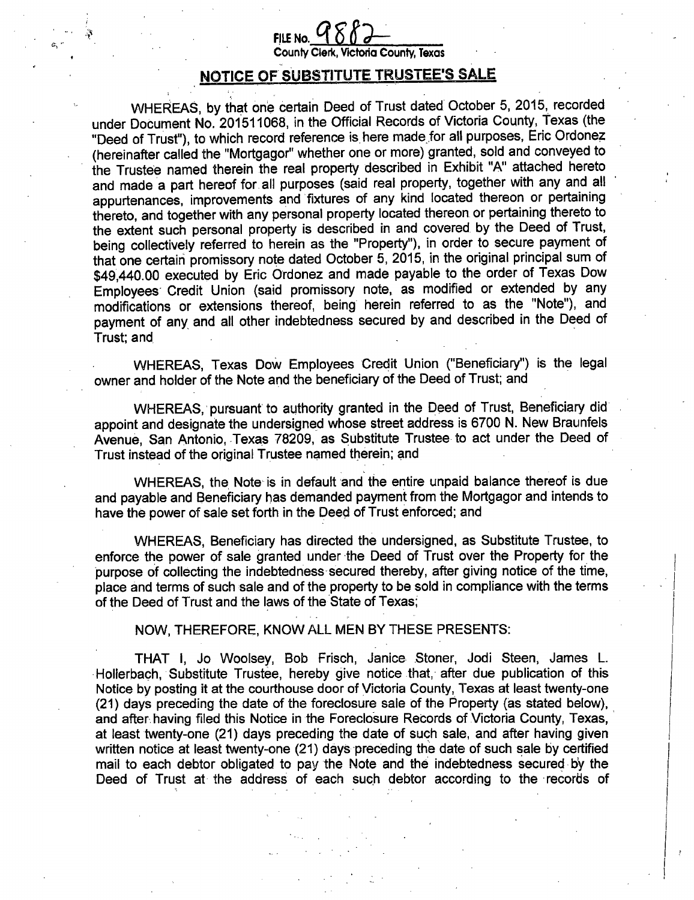# FILE No.

County Clerk, Victoria County, Texas

## NOTICE OF SUBSTITUTE TRUSTEE'S SALE

WHEREAS, by that one certain Deed of Trust dated October 5, 2015, recorded<br>Whereas, by that these is the official December 5 listenic Certain Texes (the under Document No. 201511068, in the Official Records of Victoria County, Texas (the Deed of Trust"), to which record reference is.here made;for all purposes, Eric Ordonez hereinafter called the " Mortgagor" whether one or more) granted, sold and conveyed to the Trustee named therein the real property described in Exhibit " A" attached hereto and made a part hereof for all purposes (said real property, together with any and all appurtenances, improvements and fixtures of any kind located thereon or pertaining thereto, and together with any personal property located thereon or pertaining thereto to the extent such personal property is described in and covered by the Deed of Trust, being collectively referred to herein as the " Property"), in order to secure payment of that one certain promissory note dated October 5, 2015, in the original principal sum of 49,440.00 executed by Eric Ordonez and made payable to the order of Texas Dow Employees Credit Union (said promissory note, as modified or extended by any modifications or extensions thereof, being herein referred to as the " Note"), and payment of any and all other indebtedness secured by and described in the Deed of Trust; and,

WHEREAS, Texas Dow Employees Credit Union ("Beneficiary") is the legal owner and holder of the Note and the beneficiary of the Deed of Trust; and

WHEREAS, pursuant to authority granted in the Deed of Trust, Beneficiary did appoint and designate the undersigned whose street address is 6700 N. New Braunfels Avenue, San Antonio, Texas 78209, as Substitute Trustee to act under the Deed of Trust instead of the original Trustee named therein; and

WHEREAS, the Note is in default and the entire unpaid balance thereof is due and payable and Beneficiary has demanded payment from the Mortgagor and intends to have the power of sale set forth in the Deed of Trust enforced; and

WHEREAS, Beneficiary has directed the undersigned, as Substitute Trustee, to enforce the power of sale granted under the Deed of Trust over the Property for the purpose of collecting the indebtedness secured thereby, after giving notice of the time, place and terms of such sale and of the property to be sold in compliance with the terms <sup>1</sup> of the Deed of Trust and the laws of the State of Texas;

NOW, THEREFORE, KNOW ALL MEN BY THESE PRESENTS:

THAT I, Jo Woolsey, Bob Frisch, Janice Stoner, Jodi Steen, James L. Hollerbach, Substitute Trustee, hereby give notice that, after due publication of this Notice by posting it at the courthouse door of Victoria County, Texas at least twenty-one 21) days preceding the date of the foreclosure sale of the Property ( as stated below), and after having filed this Notice in the Foreclosure Records of Victoria County, Texas, at least twenty-one (21) days preceding the date of such sale, and after having given written notice at least twenty-one (21) days preceding the date of such sale by certified mail to each debtor obligated to pay the Note and the indebtedness secured by the Deed of Trust at the address of each such debtor according to the records of

I •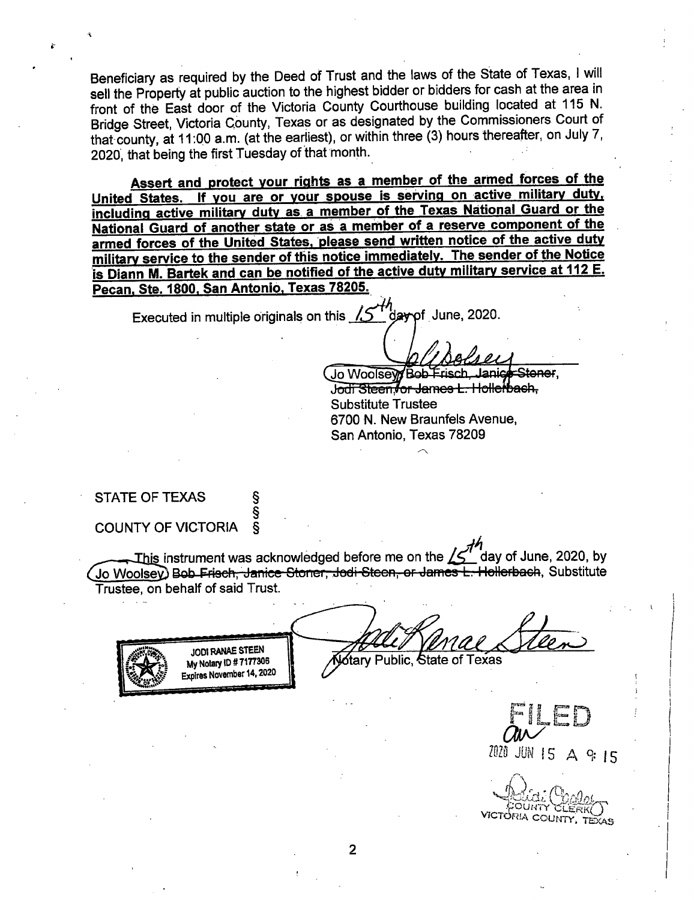Beneficiary as required by the Deed of Trust and the laws of the State of Texas, I will sell the Property at public auction to the highest bidder or bidders for cash at the area in front of the East door of the Victoria County Courthouse building located at 115 N. Bridge Street, Victoria County, Texas or as designated by the Commissioners Court of that county, at 11:00 a.m. (at the earliest), or within three (3) hours thereafter, on July 7, 2020, that being the first Tuesday of that month.

Assert and protect your rights as a member of the armed forces of the United States. If you are or your spouse is serving on active military duty, including active military duty as a member of the Texas National Guard or the National Guard of another state or as a member of a reserve component of the armed forces of the United States, please send written notice of the active duty military service to the sender of this notice immediately. The sender of the Notice is Diann M. Bartek and can be notified of the active duty military service at 112 E. Pecan, Ste. 1800. San Antonio, Texas 78205.

Executed in multiple originals on this  $I_1$  day of June, 2020.

Jo Woolseyy Bob Frisch, Janice Ster<br>J<del>odi Steenvor James L. Hollerbach,</del> Substitute Trustee 6700 N. New Braunfels Avenue, San Antonio, Texas 78209

STATE OF TEXAS COUNTY OF VICTORIA §

§ §

Alloe

This instrument was acknowledged before me on the  $/5$ day of June, 2020, by Jo Woolsey) Bob Frisch, Janice Stoner, Jodi Steen, or James L. Hollerbach, Substitute Trustee, on behalf of said Trust.

JODI RANAE STEEN<br>My Notary ID # 7177306 **Mary Public, State of Texas** Expires November 14, 2020

 $\bar{a}^{\prime\prime}$ Mt, JUN <sup>15</sup> A 9• <sup>15</sup> <sup>I</sup>

VICTORIA COUNTY.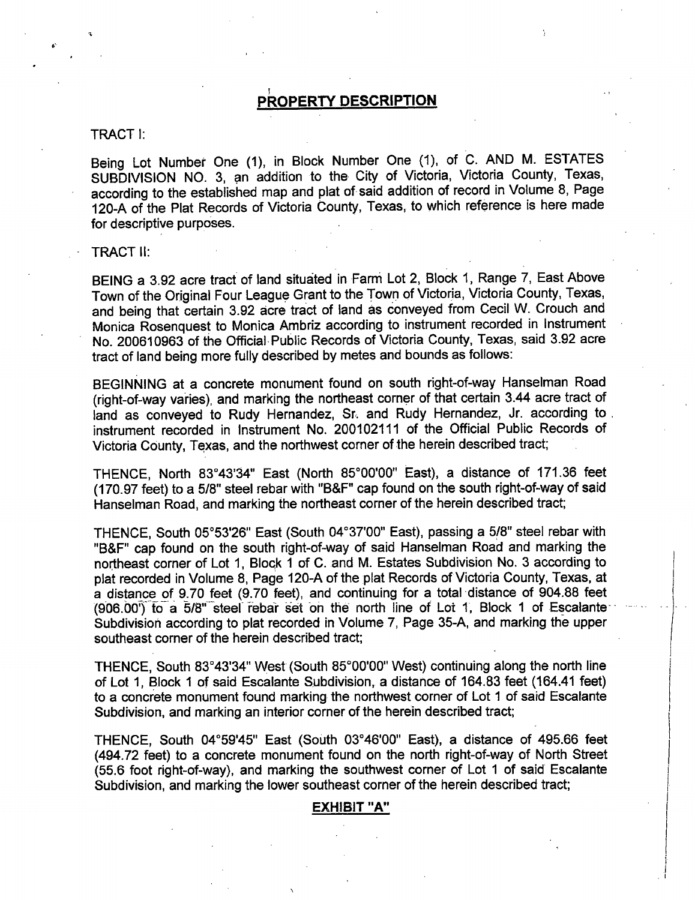## <u>PROPERTY DESCRIPTION</u>

## TRACT I:

Being Lot Number One (1), in Block Number One (1), of C. AND M. ESTATES SUBDIVISION NO. 3, an addition to the City of Victoria, Victoria County, Texas, according to the established map and plat of said addition of record in Volume 8, Page according to the established map and plat of said addition of record in Volume 8, Page 120-A of the Plat Records of Victoria County, Texas, to which reference is here made for descriptive purposes.

## TRACT II:

BEING <sup>a</sup> 3. 92 acre tract of land situated in Farm Lot 2, Block 1, Range 7, East Above Town of the Original Four League Grant to the Town of Victoria, Victoria County, Texas, and being that certain 3. 92 acre tract of land as conveyed from Cecil W. Crouch and Monica Rosenquest to Monica Ambriz according to instrument recorded in Instrument No. 200610963 of the Official. Public Records of Victoria County, Texas, said 3. 92 acre tract of land being more fully described by metes and bounds as follows:

BEGINNING at a concrete monument found on south right-of-way Hanselman Road right-of-way varies), and marking the northeast corner of that certain 3. 44 acre tract of land as conveyed to Rudy Hernandez, Sr. and Rudy Hernandez, Jr. according to. instrument recorded in Instrument No. 200102111 of the Official Public Records of Victoria County, Texas, and the northwest corner of the herein described tract;

THENCE, North 83°43'34" East (North 85°00'00" East), a distance of 171.36 feet (170.97 feet) to a 5/8" steel rebar with "B&F" cap found on the south right-of-way of said Hanselman Road, and marking the northeast corner of the herein described tract;

THENCE, South 05°53'26" East (South 04°37'00" East), passing a 5/8" steel rebar with "B&F" cap found on the south right-of-way of said Hanselman Road and marking the northeast corner of Lot 1, Block <sup>1</sup> of C. and M. Estates Subdivision No. 3 according to plat recorded in Volume 8, Page 120-A of the plat Records of Victoria County, Texas, at a distance of 9.70 feet (9.70 feet), and continuing for a total distance of 904.88 feet (906.00<sup>"</sup>) to a 5/8" steel rebar set on the north line of Lot 1, Block 1 of Escalante Subdivision according to plat recorded in Volume 7, Page 35-A, and marking the upper southeast corner of the herein described tract;

THENCE, South 83°43'34" West (South 85°00'00" West) continuing along the north line of Lot 1, Block <sup>1</sup> of said Escalante Subdivision, a distance of 164. 83 feet ( 164. 41 feet) to a concrete monument found marking the northwest corner of Lot <sup>1</sup> of said Escalante Subdivision, and marking an interior corner of the herein described tract;

THENCE, South 04°59'45" East (South 03°46'00" East), a distance of 495.66 feet 494. 72 feet) to a concrete monument found on the north right-of-way of North Street (55.6 foot right-of-way), and marking the southwest corner of Lot 1 of said Escalante Subdivision, and marking the lower southeast corner of the herein described tract;

## EXHIBIT "A"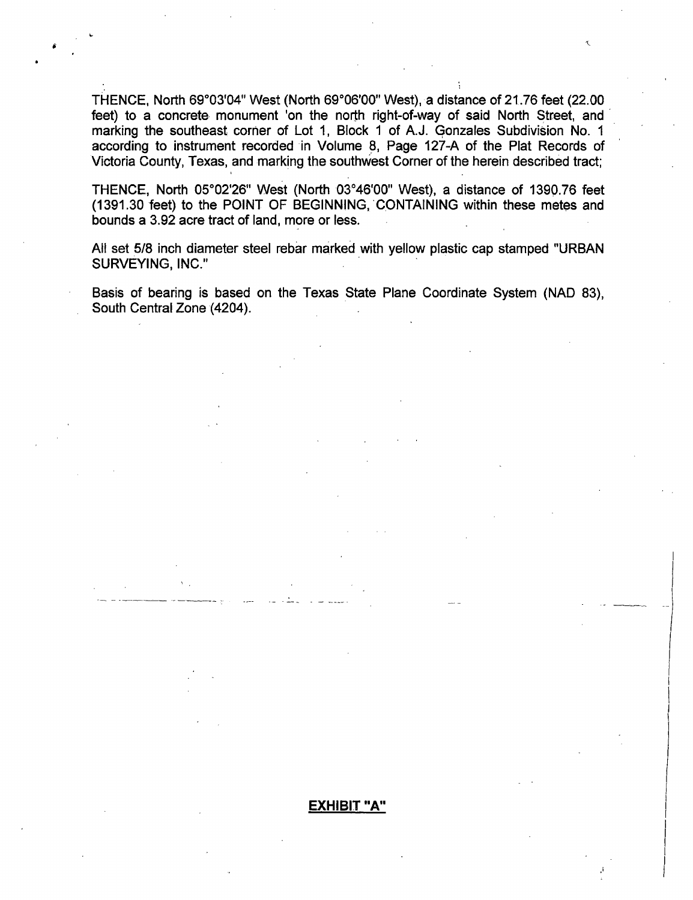THENCE, North 69°03'04" West (North 69°06'00" West), a distance of 21.76 feet (22.00 feet) to a concrete monument 'on the north right-of-way of said North Street, and marking the southeast corner of Lot 1, Block <sup>1</sup> of A.J. Gonzales Subdivision No. 1 according to instrument recorded in Volume 8, Page 127-A of the Plat Records of Victoria County, Texas, and marking the southwest Corner of the herein described tract;

THENCE, North 05°02'26" West (North 03°46'00" West), a distance of 1390.76 feet 1391. 30 feet) to the POINT OF BEGINNING, 'CONTAINING within these metes and bounds a 3. 92 acre tract of land, more or less.

All set 5/8 inch diameter steel rebar marked with yellow plastic cap stamped "URBAN SURVEYING, INC."

Basis of bearing is based on the Texas State Plane Coordinate System ( NAD 83), South Central Zone (4204).

## EXHIBIT "A"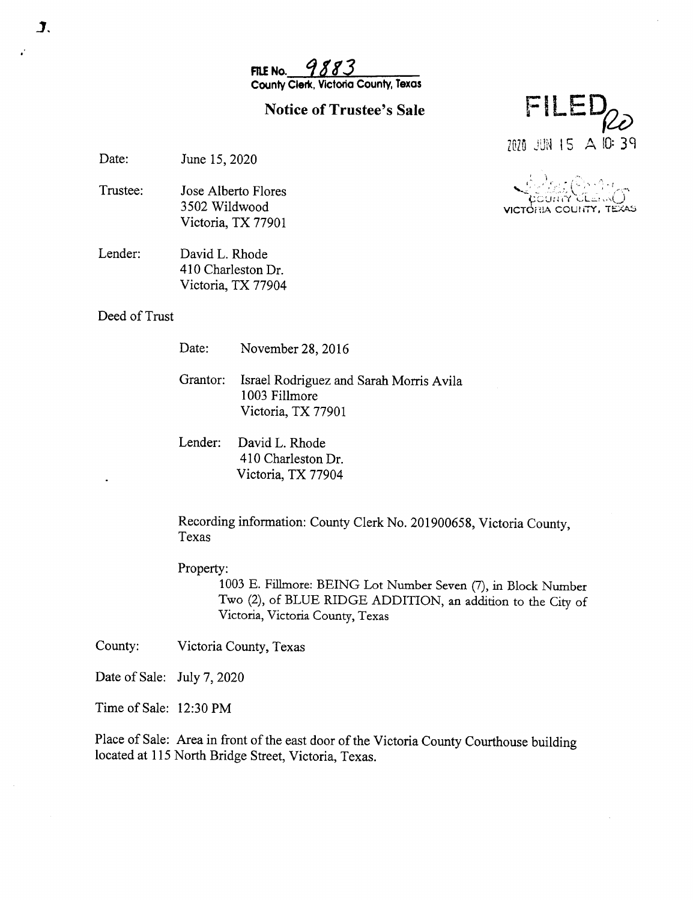9883 FILE No. County Clerk, Victoria County, Texas

## **Notice of Trustee's Sale**

FILE 2020 JUN 15 A 10:39

 $: \widehat{\mathbb{C}} \cap \mathbb{C}$ 

IA COUNTY, TEXAS

ilemi()

Date: June 15, 2020

- Trustee: Jose Alberto Flores 3502 Wildwood Victoria, TX 77901
- Lender: David L. Rhode 410 Charleston Dr. Victoria, TX 77904

Deed of Trust

Date: November 28, 2016

Grantor: Israel Rodriguez and Sarah Morris Avila 1003 Fillmore Victoria, TX 77901

Lender: David L. Rhode 410 Charleston Dr. Victoria, TX 77904

Recording information: County Clerk No. 201900658, Victoria County, Texas

Property:

1003 E. Fillmore: BEING Lot Number Seven (7), in Block Number Two (2), of BLUE RIDGE ADDITION, an addition to the City of Victoria, Victoria County, Texas

County: Victoria County, Texas

Date of Sale: July 7, 2020

Time of Sale: 12:30 PM

Place of Sale: Area in front of the east door of the Victoria County Courthouse building located at 115 North Bridge Street, Victoria, Texas.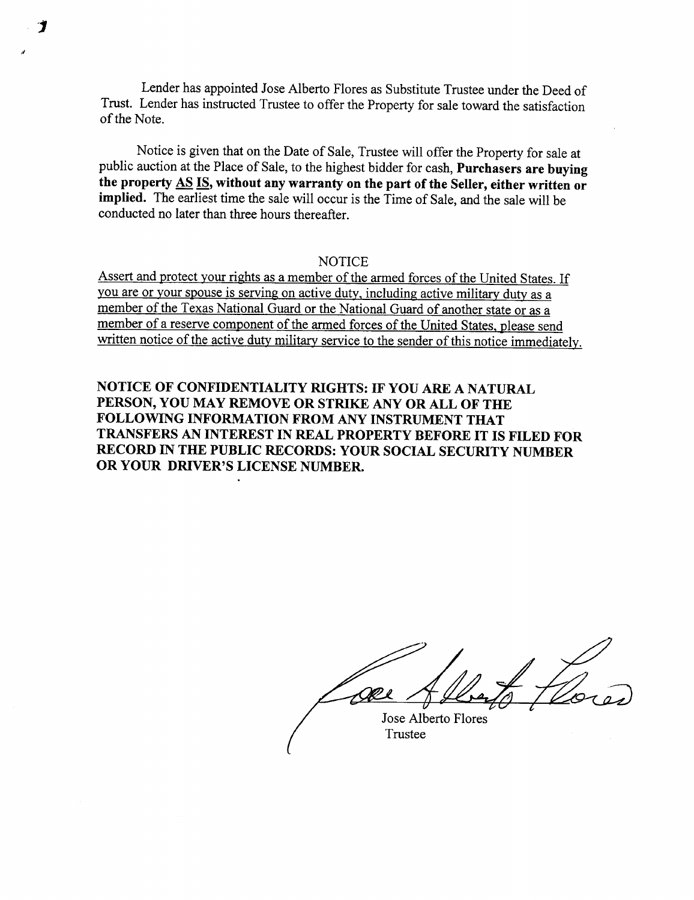Lender has appointed Jose Alberto Flores as Substitute Trustee under the Deed of Trust. Lender has instructed Trustee to offer the Property for sale toward the satisfaction of the Note.

Notice is given that on the Date of Sale, Trustee will offer the Property for sale at public auction at the Place of Sale, to the highest bidder for cash, Purchasers are buying the property AS IS, without any warranty on the part of the Seller, either written or implied. The earliest time the sale will occur is the Time of Sale, and the sale will be conducted no later than three hours thereafter.

## **NOTICE**

Assert and protect your rights as a member of the armed forces of the United States. If you are or your spouse is serving on active duty, including active military duty as a member of the Texas National Guard or the National Guard of another state or as a member of a reserve component of the armed forces of the United States, please send written notice of the active duty military service to the sender of this notice immediately.

NOTICE OF CONFIDENTIALITY RIGHTS: IF YOU ARE A NATURAL PERSON, YOU MAY REMOVE OR STRIKE ANY OR ALL OF THE FOLLOWING INFORMATION FROM ANY INSTRUMENT THAT TRANSFERS AN INTEREST IN REAL PROPERTY BEFORE IT IS FILED FOR RECORD IN THE PUBLIC RECORDS: YOUR SOCIAL SECURITY NUMBER OR YOUR DRIVER'S LICENSE NUMBER.

Jose Alberto Flores

Trustee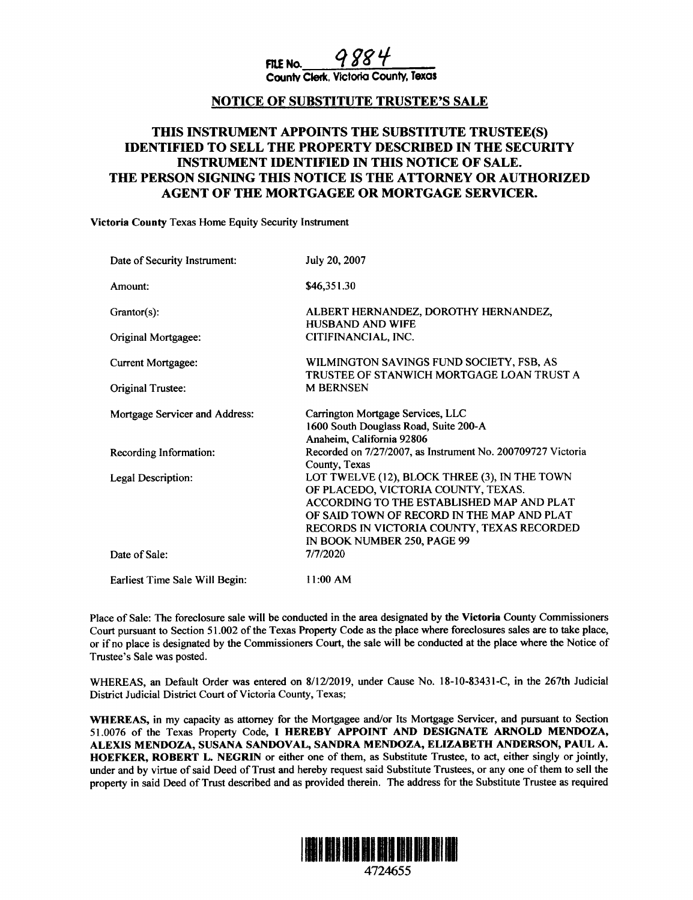FILE NO.  $9884$ 

County Clerk, Victoria County, Texas

## NOTICE OF SUBSTITUTE TRUSTEE'S SALE

## THIS INSTRUMENT APPOINTS THE SUBSTITUTE TRUSTEE(S) IDENTIFIED TO SELL THE PROPERTY DESCRIBED IN THE SECURITY INSTRUMENT IDENTIFIED IN THIS NOTICE OF SALE. THE PERSON SIGNING THIS NOTICE IS THE ATTORNEY OR AUTHORIZED AGENT OF THE MORTGAGEE OR MORTGAGE SERVICER.

Victoria County Texas Home Equity Security Instrument

| Date of Security Instrument:   | July 20, 2007                                                                                                                                                                                                                                                |
|--------------------------------|--------------------------------------------------------------------------------------------------------------------------------------------------------------------------------------------------------------------------------------------------------------|
| Amount:                        | \$46,351.30                                                                                                                                                                                                                                                  |
| $G \text{rantor}(s)$ :         | ALBERT HERNANDEZ, DOROTHY HERNANDEZ,<br>HUSBAND AND WIFE                                                                                                                                                                                                     |
| Original Mortgagee:            | CITIFINANCIAL, INC.                                                                                                                                                                                                                                          |
| Current Mortgagee:             | WILMINGTON SAVINGS FUND SOCIETY, FSB, AS                                                                                                                                                                                                                     |
| Original Trustee:              | TRUSTEE OF STANWICH MORTGAGE LOAN TRUST A<br><b>M BERNSEN</b>                                                                                                                                                                                                |
| Mortgage Servicer and Address: | Carrington Mortgage Services, LLC<br>1600 South Douglass Road, Suite 200-A<br>Anaheim, California 92806                                                                                                                                                      |
| Recording Information:         | Recorded on 7/27/2007, as Instrument No. 200709727 Victoria<br>County, Texas                                                                                                                                                                                 |
| Legal Description:             | LOT TWELVE (12), BLOCK THREE (3), IN THE TOWN<br>OF PLACEDO, VICTORIA COUNTY, TEXAS.<br>ACCORDING TO THE ESTABLISHED MAP AND PLAT<br>OF SAID TOWN OF RECORD IN THE MAP AND PLAT<br>RECORDS IN VICTORIA COUNTY, TEXAS RECORDED<br>IN BOOK NUMBER 250, PAGE 99 |
| Date of Sale:                  | 7/7/2020                                                                                                                                                                                                                                                     |
| Earliest Time Sale Will Begin: | 11:00 AM                                                                                                                                                                                                                                                     |

Place of Sale: The foreclosure sale will be conducted in the area designated by the Victoria County Commissioners Court pursuant to Section 51. 002 of the Texas Property Code as the place where foreclosures sales are to take place, or if no place is designated by the Commissioners Court, the sale will be conducted at the place where the Notice of Trustee's Sale was posted.

WHEREAS, an Default Order was entered on 8/12/2019, under Cause No. 18-10-83431-C, in the 267th Judicial District Judicial District Court of Victoria County, Texas;

WHEREAS, in my capacity as attorney for the Mortgagee and/or Its Mortgage Servicer, and pursuant to Section 51. 0076 of the Texas Property Code, I HEREBY APPOINT AND DESIGNATE ARNOLD MENDOZA, ALEXIS MENDOZA, SUSANA SANDOVAL, SANDRA MENDOZA, ELIZABETH ANDERSON, PAUL A. HOEFKER, ROBERT L. NEGRIN or either one of them, as Substitute Trustee, to act, either singly or jointly, under and by virtue of said Deed of Trust and hereby request said Substitute Trustees, or any one of them to sell the property in said Deed of Trust described and as provided therein. The address for the Substitute Trustee as required

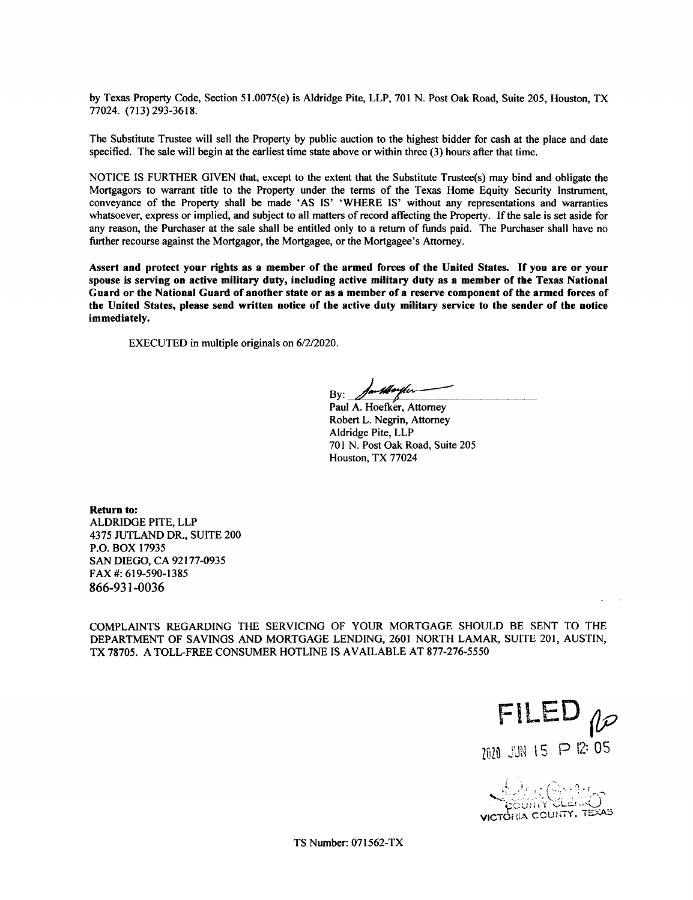by Texas Property Code, Section 51.0075(e) is Aldridge Pite, LLP, 701 N. Post Oak Road, Suite 205, Houston, TX 77024. ( 713) 293- 3618.

The Substitute Trustee will sell the Property by public auction to the highest bidder for cash at the place and date specified. The sale will begin at the earliest time state above or within three (3) hours after that time.

NOTICE IS FURTHER GIVEN that, except to the extent that the Substitute Trustee(s) may bind and obligate the Mortgagors to warrant title to the Property under the terms of the Texas Home Equity Security Instrument, conveyance of the Property shall be made 'AS IS' 'WHERE IS' without any representations and warranties whatsoever, express or implied, and subject to all matters of record affecting the Property. If the sale is set aside for any reason, the Purchaser at the sale shall be entitled only to <sup>a</sup> return of funds paid. The Purchaser shall have no further recourse against the Mortgagor, the Mortgagee, or the Mortgagee's Attorney.

Assert and protect your rights as <sup>a</sup> member of the armed forces of the United States. If you are or your spouse is serving on active military duty, including active military duty as <sup>a</sup> member of the Texas National Guard or the National Guard of another state or as a member of a reserve component of the armed forces of the United States, please send written notice of the active duty military service to the sender of the notice immediately.

EXECUTED in multiple originals on 6/2/2020.

m**pforp**fer By:

Paul A. Hoefker, Attorney Robert L. Negrin, Attorney Aldridge Pite, LLP 701 N. Post Oak Road, Suite 205 Houston, TX 77024

Return to: ALDRIDGE PITE, LLP 4375 JUTLAND DR., SUITE 200 P.O. BOX 17935 SAN DIEGO, CA 92177-0935 FAX #: 619-590-1385 866-931-0036

COMPLAINTS REGARDING THE SERVICING OF YOUR MORTGAGE SHOULD BE SENT TO THE DEPARTMENT OF SAVINGS AND MORTGAGE LENDING, 2601 NORTH LAMAR, SUITE 201, AUSTIN, TX 78705. A TOLL-FREE CONSUMER HOTLINE IS AVAILABLE AT 877-276-5550

FILED  $10$ 2020 JUN 15 P 12:05

**VRIA COUNTY, TEXAS** 

TS Number: 071562-TX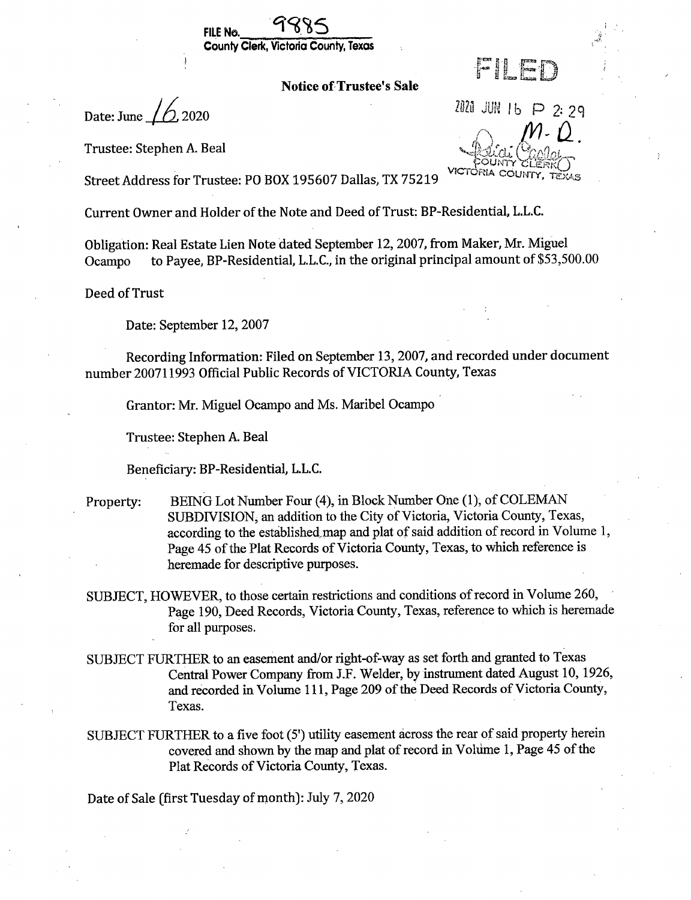



**Notice of Trustee's Sale** 

Date: June  $1/6$ , 2020

Trustee: Stephen A. Beal

2020 JUN 16 P 2:29

Street Address for Trustee: PO BOX 195607 Dallas, TX 75219

Current Owner and Holder of the Note and Deed of Trust: BP-Residential, L.L.C.

Obligation: Real Estate Lien Note dated September 12, 2007, from Maker, Mr. Miguel to Payee, BP-Residential, L.L.C., in the original principal amount of \$53,500.00 Ocampo

Deed of Trust

Date: September 12, 2007

Recording Information: Filed on September 13, 2007, and recorded under document number 200711993 Official Public Records of VICTORIA County, Texas

Grantor: Mr. Miguel Ocampo and Ms. Maribel Ocampo

Trustee: Stephen A. Beal

Beneficiary: BP-Residential, L.L.C.

- BEING Lot Number Four (4), in Block Number One (1), of COLEMAN Property: SUBDIVISION, an addition to the City of Victoria, Victoria County, Texas, according to the established map and plat of said addition of record in Volume 1, Page 45 of the Plat Records of Victoria County, Texas, to which reference is heremade for descriptive purposes.
- SUBJECT, HOWEVER, to those certain restrictions and conditions of record in Volume 260, Page 190, Deed Records, Victoria County, Texas, reference to which is heremade for all purposes.
- SUBJECT FURTHER to an easement and/or right-of-way as set forth and granted to Texas Central Power Company from J.F. Welder, by instrument dated August 10, 1926, and recorded in Volume 111, Page 209 of the Deed Records of Victoria County, Texas.
- SUBJECT FURTHER to a five foot (5') utility easement across the rear of said property herein covered and shown by the map and plat of record in Volume 1, Page 45 of the Plat Records of Victoria County, Texas.

Date of Sale (first Tuesday of month): July 7, 2020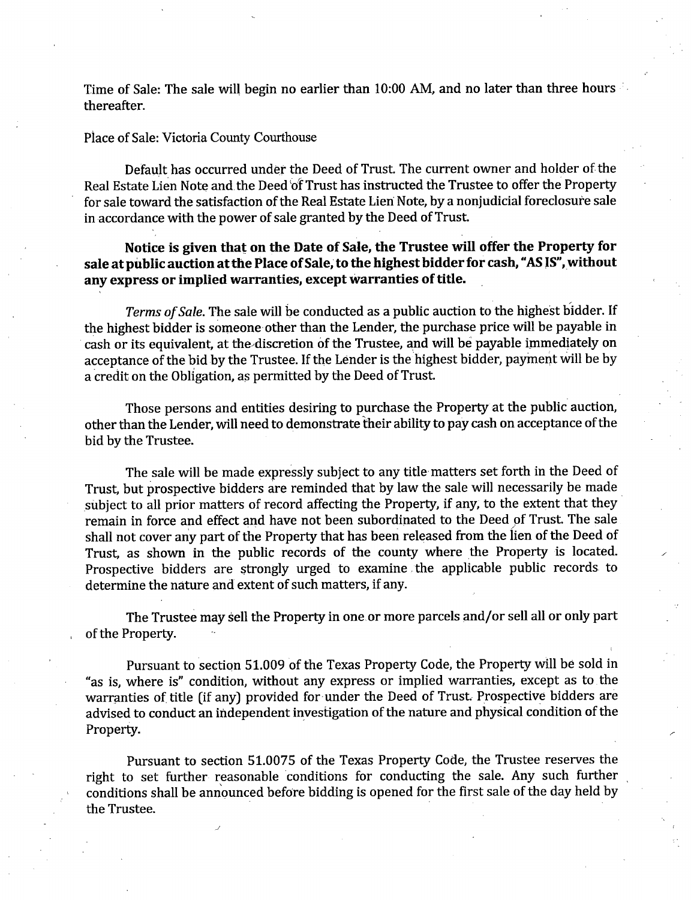Time of Sale: The sale will begin no earlier than 10:00 AM, and no later than three hours thereafter.

## Place of Sale: Victoria County Courthouse

Default has occurred under the Deed of Trust. The current owner and holder of the Real Estate Lien Note and the Deed of Trust has instructed the Trustee to offer the Property for sale toward the satisfaction of the Real Estate Lien Note, by a nonjudicial foreclosure sale in accordance with the power of sale granted by the Deed of Trust.

Notice is given that on the Date of Sale, the Trustee will offer the Property for sale at public auction at the Place of Sale, to the highest bidder for cash, "AS IS", without any express or implied warranties, except warranties of title.

Terms of Sale. The sale will be conducted as a public auction to the highest bidder. If the highest bidder is someone other than the Lender, the purchase price will be payable in cash or its equivalent, at the discretion of the Trustee, and will be payable immediately on acceptance of the bid by the Trustee. If the Lender is the highest bidder, payment will be by a credit on the Obligation, as permitted by the Deed of Trust.

Those persons and entities desiring to purchase the Property at the public auction, other than the Lender, will need to demonstrate their ability to pay cash on acceptance of the bid by the Trustee.

The sale will be made expressly subject to any title matters set forth in the Deed of Trust, but prospective bidders are reminded that by law the sale will necessarily be made subject to all prior matters of record affecting the Property, if any, to the extent that they remain in force and effect and have not been subordinated to the Deed of Trust. The sale shall not cover any part of the Property that has been released from the lien of the Deed of Trust, as shown in the public records of the county where the Property is located. Prospective bidders are strongly urged to examine the applicable public records to determine the nature and extent of such matters, if any.

The Trustee may sell the Property in one or more parcels and/or sell all or only part of the Property.

Pursuant to section 51.009 of the Texas Property Code, the Property will be sold in "as is, where is" condition, without any express or implied warranties, except as to the warranties of title (if any) provided for under the Deed of Trust. Prospective bidders are advised to conduct an independent investigation of the nature and physical condition of the Property.

Pursuant to section 51.0075 of the Texas Property Code, the Trustee reserves the right to set further reasonable conditions for conducting the sale. Any such further conditions shall be announced before bidding is opened for the first sale of the day held by the Trustee.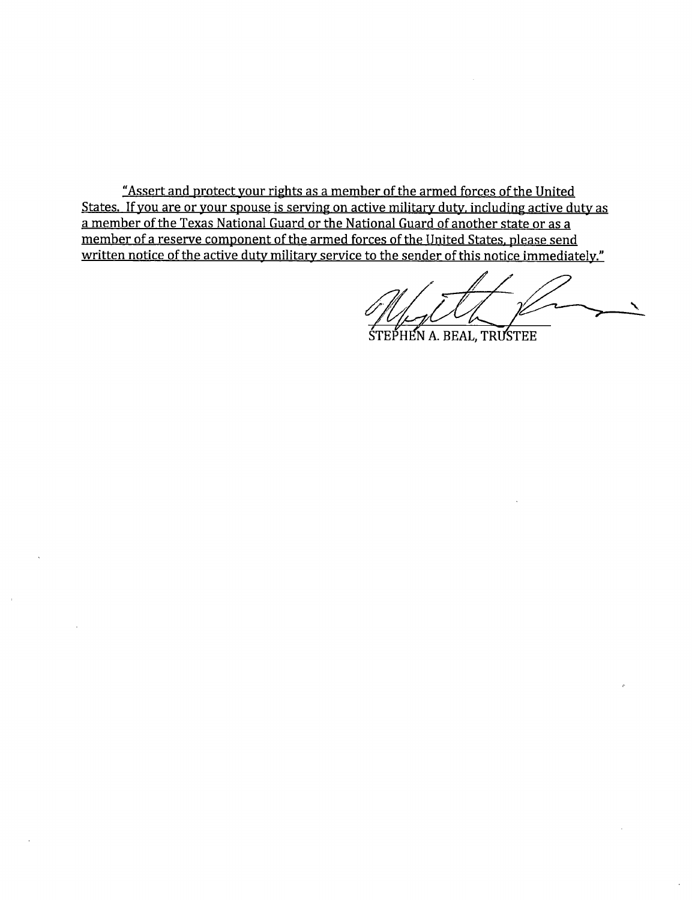"Assert and protect your rights as a member of the armed forces of the United States. If you are or your spouse is serving on active military duty, including active duty as a member of the Texas National Guard or the National Guard of another state or as a member of a reserve component of the armed forces of the United States, please send written notice of the active duty military service to the sender of this notice immediately."

STEPHEN A. BEAL, TRUSTEE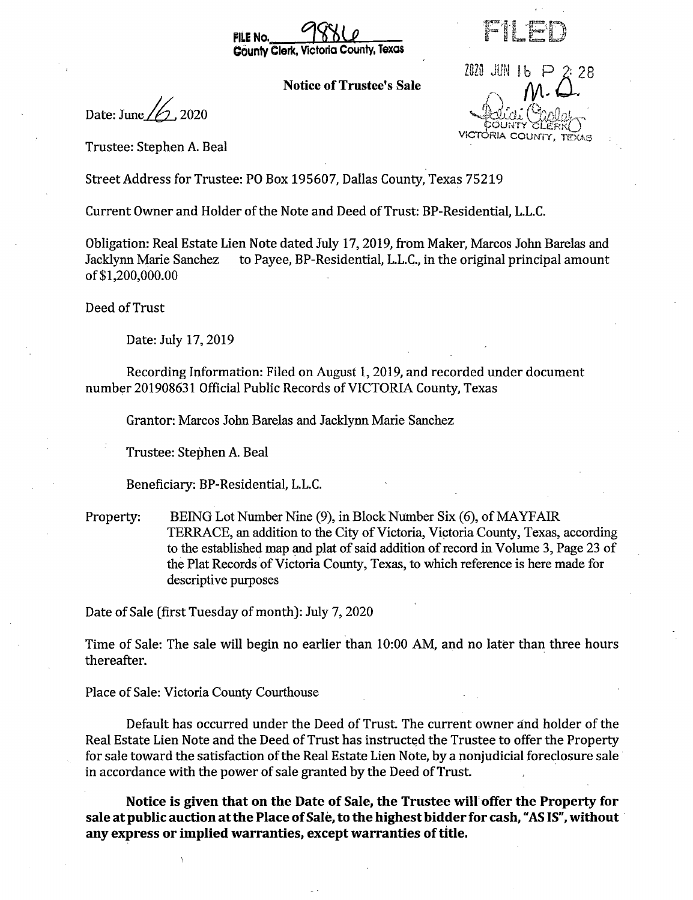

**Notice of Trustee's Sale** 

Date: June  $\frac{1}{2}$ , 2020

ria colin

2020 JUN 16

Trustee: Stephen A. Beal

Street Address for Trustee: PO Box 195607, Dallas County, Texas 75219

Current Owner and Holder of the Note and Deed of Trust: BP-Residential, L.L.C.

Obligation: Real Estate Lien Note dated July 17, 2019, from Maker, Marcos John Barelas and to Payee, BP-Residential, L.L.C., in the original principal amount Jacklynn Marie Sanchez of \$1,200,000.00

Deed of Trust

Date: July 17, 2019

Recording Information: Filed on August 1, 2019, and recorded under document number 201908631 Official Public Records of VICTORIA County, Texas

Grantor: Marcos John Barelas and Jacklynn Marie Sanchez

Trustee: Stephen A. Beal

Beneficiary: BP-Residential, L.L.C.

BEING Lot Number Nine (9), in Block Number Six (6), of MAYFAIR Property: TERRACE, an addition to the City of Victoria, Victoria County, Texas, according to the established map and plat of said addition of record in Volume 3, Page 23 of the Plat Records of Victoria County, Texas, to which reference is here made for descriptive purposes

Date of Sale (first Tuesday of month): July 7, 2020

Time of Sale: The sale will begin no earlier than 10:00 AM, and no later than three hours thereafter.

Place of Sale: Victoria County Courthouse

Default has occurred under the Deed of Trust. The current owner and holder of the Real Estate Lien Note and the Deed of Trust has instructed the Trustee to offer the Property for sale toward the satisfaction of the Real Estate Lien Note, by a nonjudicial foreclosure sale in accordance with the power of sale granted by the Deed of Trust.

Notice is given that on the Date of Sale, the Trustee will offer the Property for sale at public auction at the Place of Sale, to the highest bidder for cash, "AS IS", without any express or implied warranties, except warranties of title.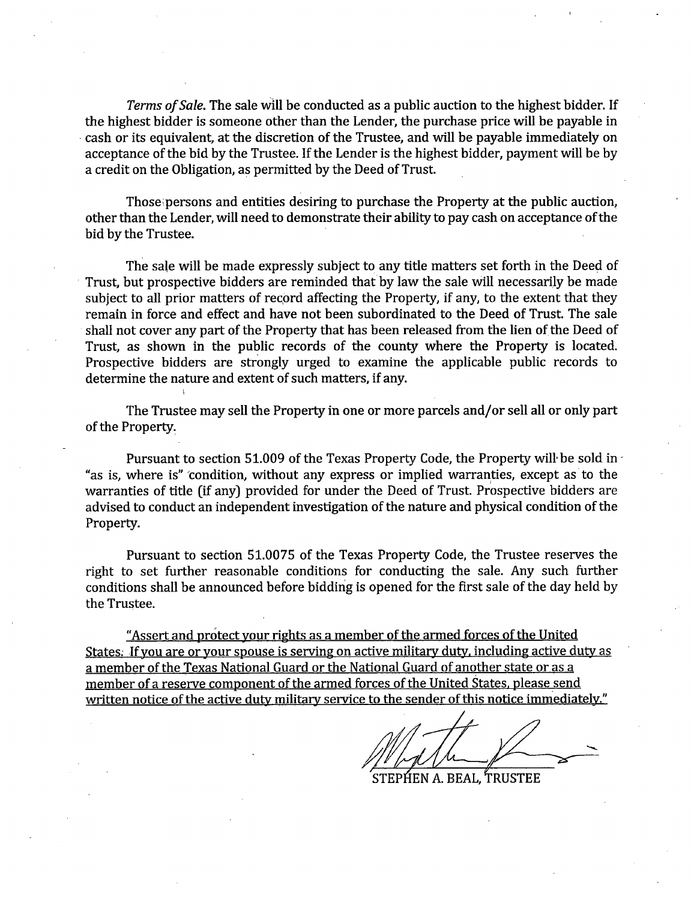Terms of Sale. The sale will be conducted as a public auction to the highest bidder. If the highest bidder is someone other than the Lender, the purchase price will be payable in cash or its equivalent, at the discretion of the Trustee, and will be payable immediately on acceptance of the bid by the Trustee. If the Lender is the highest bidder, payment will be by a credit on the Obligation, as permitted by the Deed of Trust.

Those persons and entities desiring to purchase the Property at the public auction, other than the Lender, will need to demonstrate their ability to pay cash on acceptance of the bid by the Trustee.

The sale will be made expressly subject to any title matters set forth in the Deed of Trust, but prospective bidders are reminded that by law the sale will necessarily be made subject to all prior matters of record affecting the Property, if any, to the extent that they remain in force and effect and have not been subordinated to the Deed of Trust. The sale shall not cover any part of the Property that has been released from the lien of the Deed of Trust, as shown in the public records of the county where the Property is located. Prospective bidders are strongly urged to examine the applicable public records to determine the nature and extent of such matters, if any.

The Trustee may sell the Property in one or more parcels and/or sell all or only part of the Property.

Pursuant to section 51.009 of the Texas Property Code, the Property will be sold in "as is, where is" condition, without any express or implied warranties, except as to the warranties of title (if any) provided for under the Deed of Trust. Prospective bidders are advised to conduct an independent investigation of the nature and physical condition of the Property.

Pursuant to section 51.0075 of the Texas Property Code, the Trustee reserves the right to set further reasonable conditions for conducting the sale. Any such further conditions shall be announced before bidding is opened for the first sale of the day held by the Trustee.

"Assert and protect your rights as a member of the armed forces of the United States. If you are or your spouse is serving on active military duty, including active duty as a member of the Texas National Guard or the National Guard of another state or as a member of a reserve component of the armed forces of the United States, please send written notice of the active duty military service to the sender of this notice immediately."

STEPHEN A. BEAL, 'TRUSTEE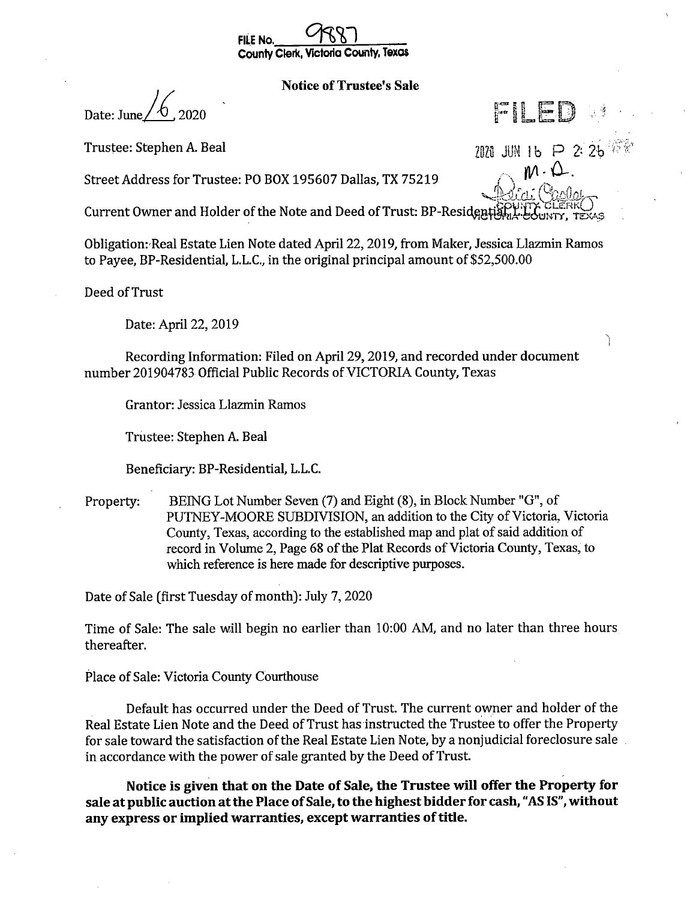

## **Notice of Trustee's Sale**

FILE

2020 JUN 16 P 2 24  $M \cdot \Omega$ 

ſ

Date: June

Trustee: Stephen A. Beal

Street Address for Trustee: PO BOX 195607 Dallas, TX 75219

Current Owner and Holder of the Note and Deed of Trust: BP-Residen

Obligation: Real Estate Lien Note dated April 22, 2019, from Maker, Jessica Llazmin Ramos to Payee, BP-Residential, L.L.C., in the original principal amount of \$52,500.00

Deed of Trust

Date: April 22, 2019

Recording Information: Filed on April 29, 2019, and recorded under document number 201904783 Official Public Records of VICTORIA County, Texas

Grantor: Jessica Llazmin Ramos

Trustee: Stephen A. Beal

Beneficiary: BP-Residential, L.L.C.

BEING Lot Number Seven (7) and Eight (8), in Block Number "G", of Property: PUTNEY-MOORE SUBDIVISION, an addition to the City of Victoria, Victoria County, Texas, according to the established map and plat of said addition of record in Volume 2, Page 68 of the Plat Records of Victoria County, Texas, to which reference is here made for descriptive purposes.

Date of Sale (first Tuesday of month): July 7, 2020

Time of Sale: The sale will begin no earlier than 10:00 AM, and no later than three hours thereafter.

Place of Sale: Victoria County Courthouse

Default has occurred under the Deed of Trust. The current owner and holder of the Real Estate Lien Note and the Deed of Trust has instructed the Trustee to offer the Property for sale toward the satisfaction of the Real Estate Lien Note, by a nonjudicial foreclosure sale in accordance with the power of sale granted by the Deed of Trust.

Notice is given that on the Date of Sale, the Trustee will offer the Property for sale at public auction at the Place of Sale, to the highest bidder for cash, "AS IS", without any express or implied warranties, except warranties of title.